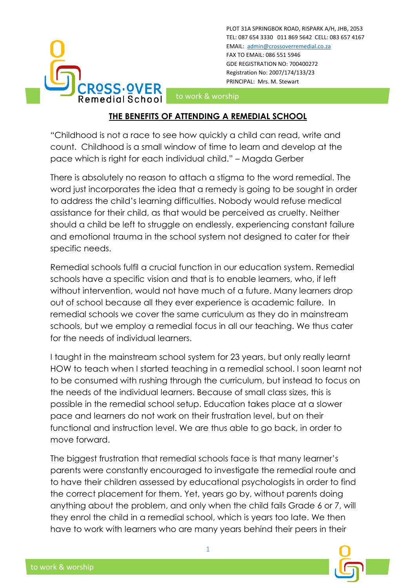

PLOT 31A SPRINGBOK ROAD, RISPARK A/H, JHB, 2053 TEL: 087 654 3330 011 869 5642 CELL: 083 657 4167 EMAIL: [admin@crossoverremedial.co.za](mailto:admin@crossoverremedial.co.za) FAX TO EMAIL: 086 551 5946 GDE REGISTRATION NO: 700400272 Registration No: 2007/174/133/23 PRINCIPAL: Mrs. M. Stewart

to work & worship

## **THE BENEFITS OF ATTENDING A REMEDIAL SCHOOL**

"Childhood is not a race to see how quickly a child can read, write and count. Childhood is a small window of time to learn and develop at the pace which is right for each individual child." – Magda Gerber

There is absolutely no reason to attach a stigma to the word remedial. The word just incorporates the idea that a remedy is going to be sought in order to address the child's learning difficulties. Nobody would refuse medical assistance for their child, as that would be perceived as cruelty. Neither should a child be left to struggle on endlessly, experiencing constant failure and emotional trauma in the school system not designed to cater for their specific needs.

Remedial schools fulfil a crucial function in our education system. Remedial schools have a specific vision and that is to enable learners, who, if left without intervention, would not have much of a future. Many learners drop out of school because all they ever experience is academic failure. In remedial schools we cover the same curriculum as they do in mainstream schools, but we employ a remedial focus in all our teaching. We thus cater for the needs of individual learners.

I taught in the mainstream school system for 23 years, but only really learnt HOW to teach when I started teaching in a remedial school. I soon learnt not to be consumed with rushing through the curriculum, but instead to focus on the needs of the individual learners. Because of small class sizes, this is possible in the remedial school setup. Education takes place at a slower pace and learners do not work on their frustration level, but on their functional and instruction level. We are thus able to go back, in order to move forward.

The biggest frustration that remedial schools face is that many learner's parents were constantly encouraged to investigate the remedial route and to have their children assessed by educational psychologists in order to find the correct placement for them. Yet, years go by, without parents doing anything about the problem, and only when the child fails Grade 6 or 7, will they enrol the child in a remedial school, which is years too late. We then have to work with learners who are many years behind their peers in their